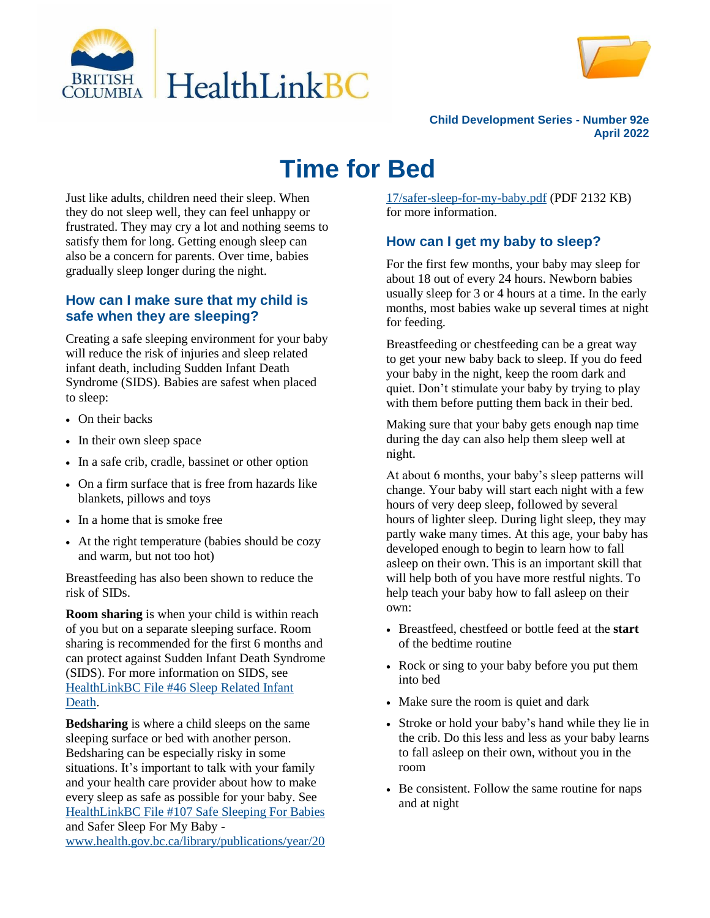



**Child Development Series - Number 92e April 2022**

# **Time for Bed**

 satisfy them for long. Getting enough sleep can Just like adults, children need their sleep. When they do not sleep well, they can feel unhappy or frustrated. They may cry a lot and nothing seems to also be a concern for parents. Over time, babies gradually sleep longer during the night.

### **How can I make sure that my child is safe when they are sleeping?**

Creating a safe sleeping environment for your baby will reduce the risk of injuries and sleep related infant death, including Sudden Infant Death Syndrome (SIDS). Babies are safest when placed to sleep:

- On their backs
- In their own sleep space
- In a safe crib, cradle, bassinet or other option
- On a firm surface that is free from hazards like blankets, pillows and toys
- In a home that is smoke free
- At the right temperature (babies should be cozy and warm, but not too hot)

Breastfeeding has also been shown to reduce the risk of SIDs.

**Room sharing** is when your child is within reach of you but on a separate sleeping surface. Room sharing is recommended for the first 6 months and can protect against Sudden Infant Death Syndrome (SIDS). For more information on SIDS, see [HealthLinkBC File #46 Sleep Related Infant](https://www.healthlinkbc.ca/healthlinkbc-files/sleep-related-infant-death)  [Death.](https://www.healthlinkbc.ca/healthlinkbc-files/sleep-related-infant-death)

**Bedsharing** is where a child sleeps on the same sleeping surface or bed with another person. Bedsharing can be especially risky in some situations. It's important to talk with your family and your health care provider about how to make every sleep as safe as possible for your baby. See [HealthLinkBC File #107 Safe Sleeping For Babies](https://www.healthlinkbc.ca/healthlinkbc-files/safe-sleeping-babies) and Safer Sleep For My Baby [www.health.gov.bc.ca/library/publications/year/20](https://www.health.gov.bc.ca/library/publications/year/2017/safer-sleep-for-my-baby.pdf)

[17/safer-sleep-for-my-baby.pdf](https://www.health.gov.bc.ca/library/publications/year/2017/safer-sleep-for-my-baby.pdf) (PDF 2132 KB) for more information.

## **How can I get my baby to sleep?**

For the first few months, your baby may sleep for about 18 out of every 24 hours. Newborn babies usually sleep for 3 or 4 hours at a time. In the early months, most babies wake up several times at night for feeding.

Breastfeeding or chestfeeding can be a great way to get your new baby back to sleep. If you do feed your baby in the night, keep the room dark and quiet. Don't stimulate your baby by trying to play with them before putting them back in their bed.

Making sure that your baby gets enough nap time during the day can also help them sleep well at night.

At about 6 months, your baby's sleep patterns will change. Your baby will start each night with a few hours of very deep sleep, followed by several hours of lighter sleep. During light sleep, they may partly wake many times. At this age, your baby has developed enough to begin to learn how to fall asleep on their own. This is an important skill that will help both of you have more restful nights. To help teach your baby how to fall asleep on their own:

- Breastfeed, chestfeed or bottle feed at the **start** of the bedtime routine
- Rock or sing to your baby before you put them into bed
- Make sure the room is quiet and dark
- Stroke or hold your baby's hand while they lie in the crib. Do this less and less as your baby learns to fall asleep on their own, without you in the room
- Be consistent. Follow the same routine for naps and at night